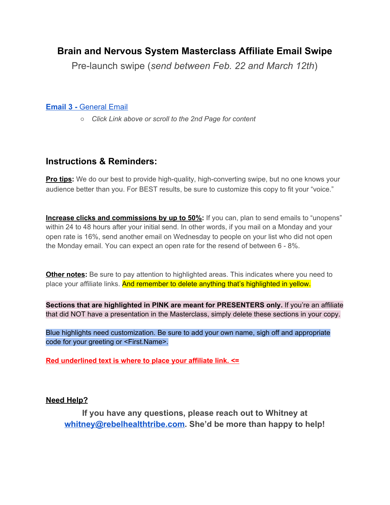# **Brain and Nervous System Masterclass Affiliate Email Swipe**

Pre-launch swipe (*send between Feb. 22 and March 12th*)

## **[Email 3 -](#page-1-0)** [General Email](#page-1-0)

*○ Click Link above or scroll to the 2nd Page for content*

## **Instructions & Reminders:**

**Pro tips:** We do our best to provide high-quality, high-converting swipe, but no one knows your audience better than you. For BEST results, be sure to customize this copy to fit your "voice."

**Increase clicks and commissions by up to 50%:** If you can, plan to send emails to "unopens" within 24 to 48 hours after your initial send. In other words, if you mail on a Monday and your open rate is 16%, send another email on Wednesday to people on your list who did not open the Monday email. You can expect an open rate for the resend of between 6 - 8%.

**Other notes:** Be sure to pay attention to highlighted areas. This indicates where you need to place your affiliate links. And remember to delete anything that's highlighted in yellow.

**Sections that are highlighted in PINK are meant for PRESENTERS only.** If you're an affiliate that did NOT have a presentation in the Masterclass, simply delete these sections in your copy.

Blue highlights need customization. Be sure to add your own name, sigh off and appropriate code for your greeting or <First.Name>.

**Red underlined text is where to place your affiliate link. <=** 

## **Need Help?**

**If you have any questions, please reach out to Whitney at [whitney@rebelhealthtribe.com](mailto:whitney@rebelhealthtribe.com). She'd be more than happy to help!**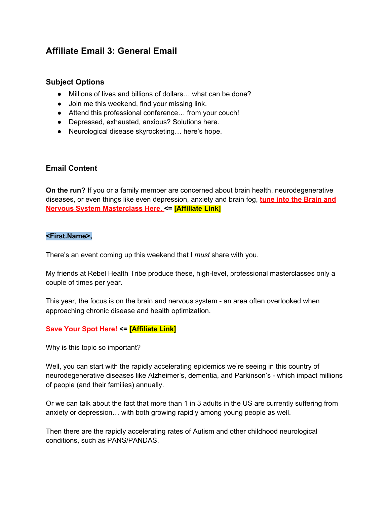## <span id="page-1-0"></span>**Affiliate Email 3: General Email**

### **Subject Options**

- Millions of lives and billions of dollars… what can be done?
- Join me this weekend, find your missing link.
- Attend this professional conference… from your couch!
- Depressed, exhausted, anxious? Solutions here.
- Neurological disease skyrocketing... here's hope.

### **Email Content**

**On the run?** If you or a family member are concerned about brain health, neurodegenerative diseases, or even things like even depression, anxiety and brain fog, **tune into the Brain and Nervous System Masterclass Here. <= [Affiliate Link]**

#### **<First.Name>,**

There's an event coming up this weekend that I *must* share with you.

My friends at Rebel Health Tribe produce these, high-level, professional masterclasses only a couple of times per year.

This year, the focus is on the brain and nervous system - an area often overlooked when approaching chronic disease and health optimization.

## **Save Your Spot Here! <= [Affiliate Link]**

Why is this topic so important?

Well, you can start with the rapidly accelerating epidemics we're seeing in this country of neurodegenerative diseases like Alzheimer's, dementia, and Parkinson's - which impact millions of people (and their families) annually.

Or we can talk about the fact that more than 1 in 3 adults in the US are currently suffering from anxiety or depression… with both growing rapidly among young people as well.

Then there are the rapidly accelerating rates of Autism and other childhood neurological conditions, such as PANS/PANDAS.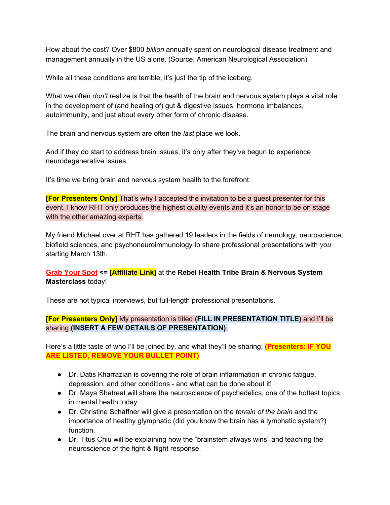How about the cost? Over \$800 *billion* annually spent on neurological disease treatment and management annually in the US alone. (Source: American Neurological Association)

While all these conditions are terrible, it's just the tip of the iceberg.

What we often *don't* realize is that the health of the brain and nervous system plays a vital role in the development of (and healing of) gut & digestive issues, hormone imbalances, autoimmunity, and just about every other form of chronic disease.

The brain and nervous system are often the *last* place we look.

And if they do start to address brain issues, it's only after they've begun to experience neurodegenerative issues.

It's time we bring brain and nervous system health to the forefront.

**[For Presenters Only]** That's why I accepted the invitation to be a quest presenter for this event. I know RHT only produces the highest quality events and it's an honor to be on stage with the other amazing experts.

My friend Michael over at RHT has gathered 19 leaders in the fields of neurology, neuroscience, biofield sciences, and psychoneuroimmunology to share professional presentations with *you* starting March 13th.

## **Grab Your Spot <= [Affiliate Link]** at the **Rebel Health Tribe Brain & Nervous System Masterclass** today!

These are not typical interviews, but full-length professional presentations.

## **[For Presenters Only]** My presentation is titled **(FILL IN PRESENTATION TITLE)** and I'll be sharing **(INSERT A FEW DETAILS OF PRESENTATION)**.

Here's a little taste of who I'll be joined by, and what they'll be sharing: **(Presenters: IF YOU ARE LISTED, REMOVE YOUR BULLET POINT)**

- Dr. Datis Kharrazian is covering the role of brain inflammation in chronic fatigue, depression, and other conditions - and what can be done about it!
- Dr. Maya Shetreat will share the neuroscience of psychedelics, one of the hottest topics in mental health today.
- Dr. Christine Schaffner will give a presentation on the *terrain of the brain* and the importance of healthy glymphatic (did you know the brain has a lymphatic system?) function.
- Dr. Titus Chiu will be explaining how the "brainstem always wins" and teaching the neuroscience of the fight & flight response.